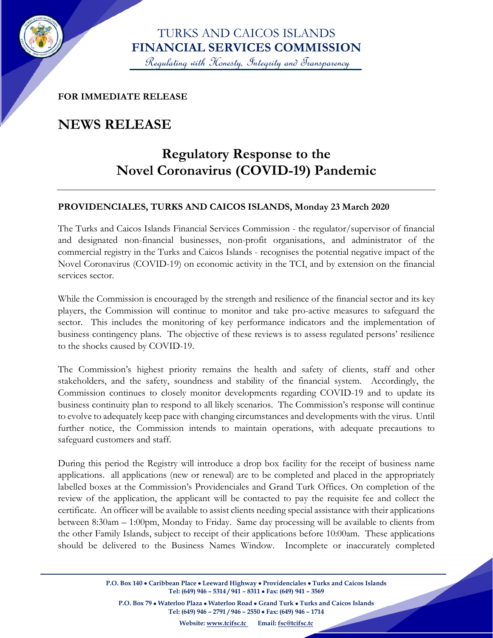

Regulating with Honesty, Integrity and Transparency

## **FOR IMMEDIATE RELEASE**

## **NEWS RELEASE**

## **Regulatory Response to the Novel Coronavirus (COVID-19) Pandemic**

## **PROVIDENCIALES, TURKS AND CAICOS ISLANDS, Monday 23 March 2020**

The Turks and Caicos Islands Financial Services Commission - the regulator/supervisor of financial and designated non-financial businesses, non-profit organisations, and administrator of the commercial registry in the Turks and Caicos Islands - recognises the potential negative impact of the Novel Coronavirus (COVID-19) on economic activity in the TCI, and by extension on the financial services sector.

While the Commission is encouraged by the strength and resilience of the financial sector and its key players, the Commission will continue to monitor and take pro-active measures to safeguard the sector. This includes the monitoring of key performance indicators and the implementation of business contingency plans. The objective of these reviews is to assess regulated persons' resilience to the shocks caused by COVID-19.

The Commission's highest priority remains the health and safety of clients, staff and other stakeholders, and the safety, soundness and stability of the financial system. Accordingly, the Commission continues to closely monitor developments regarding COVID-19 and to update its business continuity plan to respond to all likely scenarios. The Commission's response will continue to evolve to adequately keep pace with changing circumstances and developments with the virus. Until further notice, the Commission intends to maintain operations, with adequate precautions to safeguard customers and staff.

During this period the Registry will introduce a drop box facility for the receipt of business name applications. all applications (new or renewal) are to be completed and placed in the appropriately labelled boxes at the Commission's Providenciales and Grand Turk Offices. On completion of the review of the application, the applicant will be contacted to pay the requisite fee and collect the certificate. An officer will be available to assist clients needing special assistance with their applications between 8:30am – 1:00pm, Monday to Friday. Same day processing will be available to clients from the other Family Islands, subject to receipt of their applications before 10:00am. These applications should be delivered to the Business Names Window. Incomplete or inaccurately completed

> **P.O. Box 140** • **Caribbean Place** • **Leeward Highway** • **Providenciales** • **Turks and Caicos Islands Tel: (649) 946 – 5314 / 941 – 8311** • **Fax: (649) 941 – 3569**

**P.O. Box 79** • **Waterloo Plaza** • **Waterloo Road** • **Grand Turk** • **Turks and Caicos Islands Tel: (649) 946 – 2791 / 946 – 2550** • **Fax: (649) 946 – 1714**

**Website: [www.tcifsc.tc](http://www.tcifsc.tc/) Email[: fsc@tcifsc.tc](mailto:fsc@tcifsc.tc)**